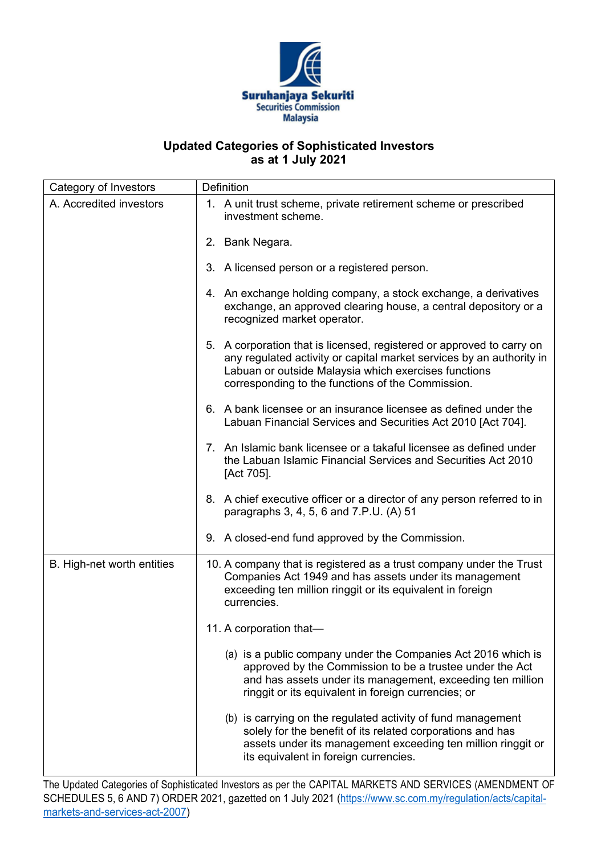

## **Updated Categories of Sophisticated Investors as at 1 July 2021**

| Category of Investors      | Definition                                                                                                                                                                                                                                                 |
|----------------------------|------------------------------------------------------------------------------------------------------------------------------------------------------------------------------------------------------------------------------------------------------------|
| A. Accredited investors    | 1. A unit trust scheme, private retirement scheme or prescribed<br>investment scheme.                                                                                                                                                                      |
|                            | 2. Bank Negara.                                                                                                                                                                                                                                            |
|                            | 3. A licensed person or a registered person.                                                                                                                                                                                                               |
|                            | 4. An exchange holding company, a stock exchange, a derivatives<br>exchange, an approved clearing house, a central depository or a<br>recognized market operator.                                                                                          |
|                            | 5. A corporation that is licensed, registered or approved to carry on<br>any regulated activity or capital market services by an authority in<br>Labuan or outside Malaysia which exercises functions<br>corresponding to the functions of the Commission. |
|                            | 6. A bank licensee or an insurance licensee as defined under the<br>Labuan Financial Services and Securities Act 2010 [Act 704].                                                                                                                           |
|                            | 7. An Islamic bank licensee or a takaful licensee as defined under<br>the Labuan Islamic Financial Services and Securities Act 2010<br>[Act 705].                                                                                                          |
|                            | 8. A chief executive officer or a director of any person referred to in<br>paragraphs 3, 4, 5, 6 and 7.P.U. (A) 51                                                                                                                                         |
|                            | 9. A closed-end fund approved by the Commission.                                                                                                                                                                                                           |
| B. High-net worth entities | 10. A company that is registered as a trust company under the Trust<br>Companies Act 1949 and has assets under its management<br>exceeding ten million ringgit or its equivalent in foreign<br>currencies.                                                 |
|                            | 11. A corporation that-                                                                                                                                                                                                                                    |
|                            | (a) is a public company under the Companies Act 2016 which is<br>approved by the Commission to be a trustee under the Act<br>and has assets under its management, exceeding ten million<br>ringgit or its equivalent in foreign currencies; or             |
|                            | (b) is carrying on the regulated activity of fund management<br>solely for the benefit of its related corporations and has<br>assets under its management exceeding ten million ringgit or<br>its equivalent in foreign currencies.                        |